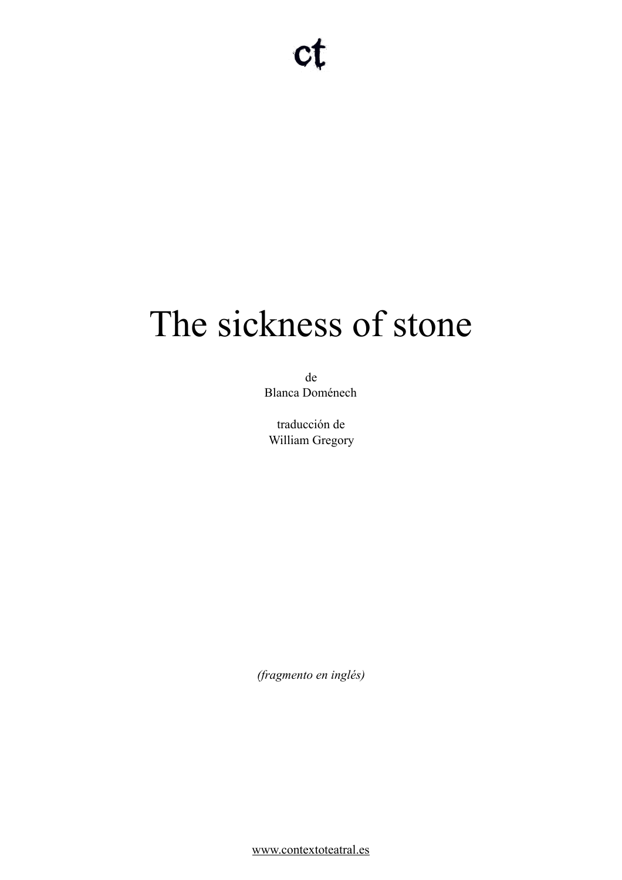# The sickness of stone

de Blanca Doménech

traducción de William Gregory

*(fragmento en inglés)* 

[www.contextoteatral.es](http://www.contextoteatral.es)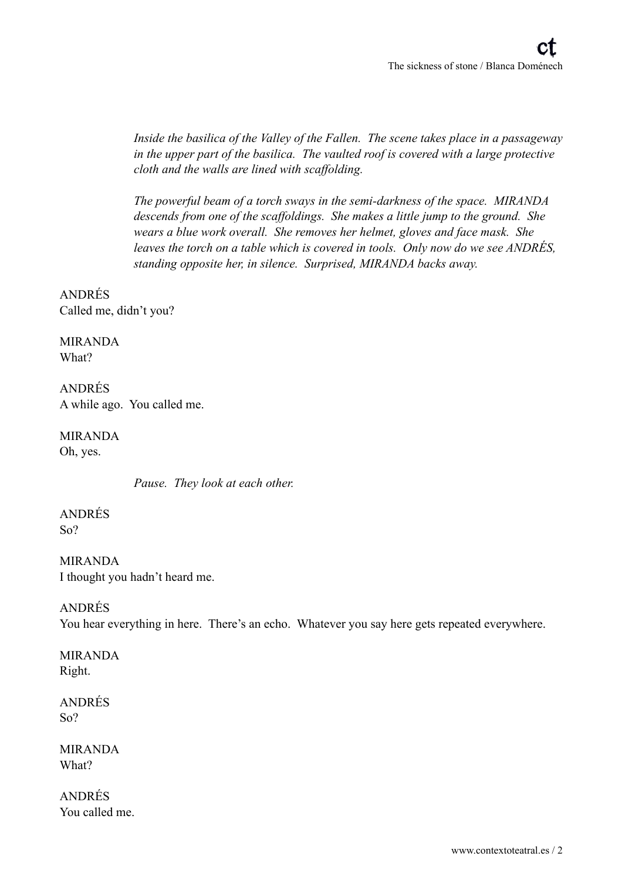*Inside the basilica of the Valley of the Fallen. The scene takes place in a passageway in the upper part of the basilica. The vaulted roof is covered with a large protective cloth and the walls are lined with scaffolding.* 

*The powerful beam of a torch sways in the semi-darkness of the space. MIRANDA descends from one of the scaffoldings. She makes a little jump to the ground. She wears a blue work overall. She removes her helmet, gloves and face mask. She leaves the torch on a table which is covered in tools. Only now do we see ANDRÉS, standing opposite her, in silence. Surprised, MIRANDA backs away.* 

ANDRÉS Called me, didn't you?

MIRANDA What?

ANDRÉS A while ago. You called me.

MIRANDA Oh, yes.

*Pause. They look at each other.* 

ANDRÉS So?

MIRANDA I thought you hadn't heard me.

# ANDRÉS

You hear everything in here. There's an echo. Whatever you say here gets repeated everywhere.

MIRANDA Right.

ANDRÉS So?

MIRANDA What?

ANDRÉS You called me.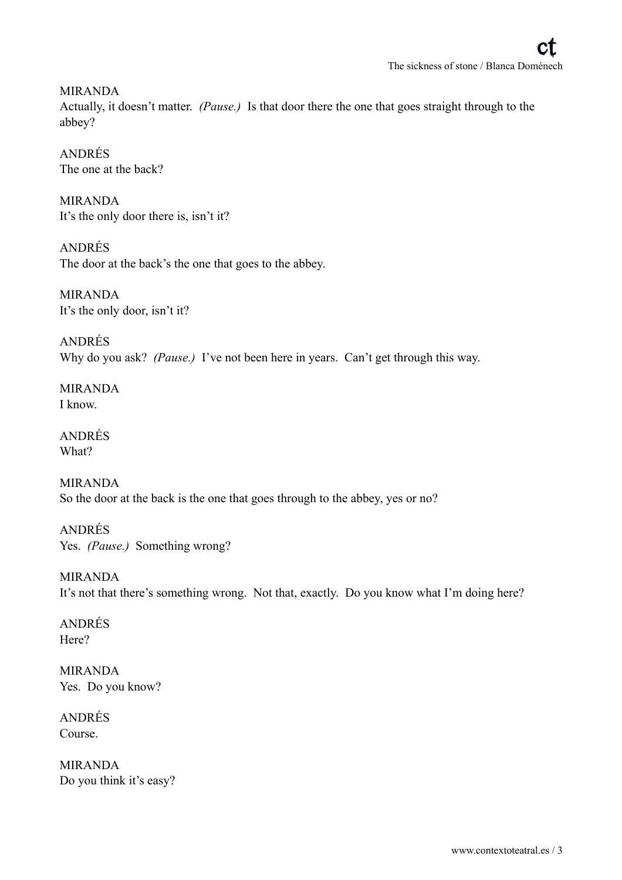MIRANDA Actually, it doesn't matter. *(Pause.)* Is that door there the one that goes straight through to the abbey?

ANDRÉS The one at the back?

MIRANDA It's the only door there is, isn't it?

ANDRÉS The door at the back's the one that goes to the abbey.

MIRANDA It's the only door, isn't it?

ANDRÉS Why do you ask? *(Pause.)* I've not been here in years. Can't get through this way.

MIRANDA I know.

ANDRÉS What?

MIRANDA So the door at the back is the one that goes through to the abbey, yes or no?

ANDRÉS Yes. *(Pause.)* Something wrong?

MIRANDA It's not that there's something wrong. Not that, exactly. Do you know what I'm doing here?

ANDRÉS Here?

MIRANDA Yes. Do you know?

ANDRÉS Course.

MIRANDA Do you think it's easy?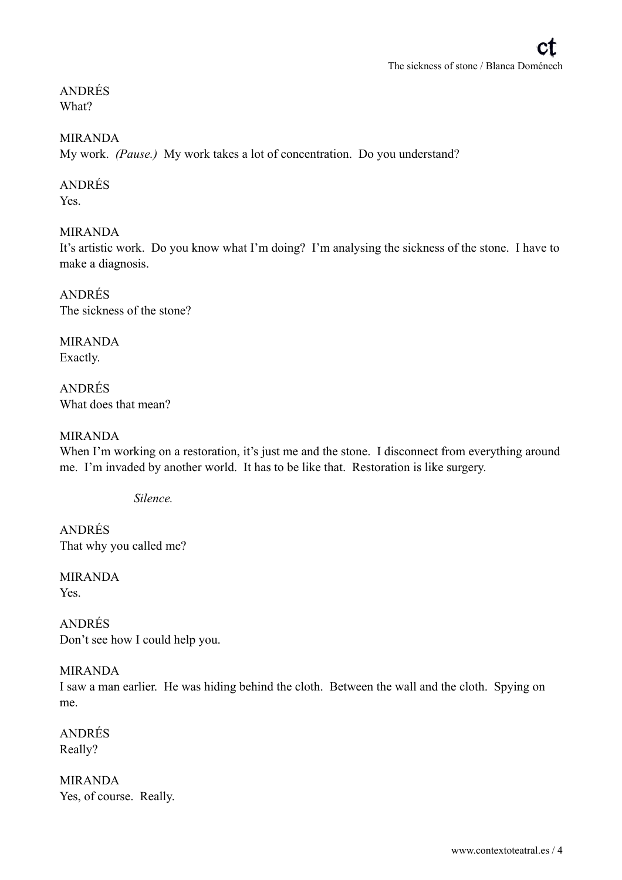ANDRÉS What?

### MIRANDA

My work. *(Pause.)* My work takes a lot of concentration. Do you understand?

### ANDRÉS

Yes.

### MIRANDA

It's artistic work. Do you know what I'm doing? I'm analysing the sickness of the stone. I have to make a diagnosis.

ANDRÉS The sickness of the stone?

MIRANDA Exactly.

ANDRÉS What does that mean?

### MIRANDA

When I'm working on a restoration, it's just me and the stone. I disconnect from everything around me. I'm invaded by another world. It has to be like that. Restoration is like surgery.

*Silence.* 

ANDRÉS That why you called me?

MIRANDA Yes.

ANDRÉS Don't see how I could help you.

### MIRANDA

I saw a man earlier. He was hiding behind the cloth. Between the wall and the cloth. Spying on me.

ANDRÉS Really?

MIRANDA Yes, of course. Really.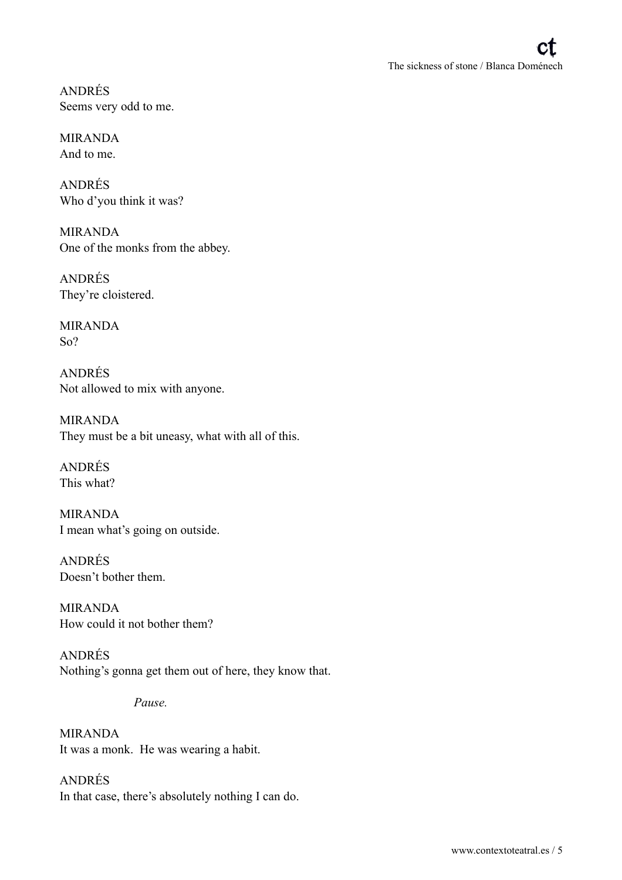ANDRÉS Seems very odd to me.

MIRANDA And to me.

ANDRÉS Who d'you think it was?

MIRANDA One of the monks from the abbey.

ANDRÉS They're cloistered.

MIRANDA So?

ANDRÉS Not allowed to mix with anyone.

MIRANDA They must be a bit uneasy, what with all of this.

ANDRÉS This what?

MIRANDA I mean what's going on outside.

ANDRÉS Doesn't bother them.

MIRANDA How could it not bother them?

ANDRÉS Nothing's gonna get them out of here, they know that.

*Pause.* 

MIRANDA It was a monk. He was wearing a habit.

ANDRÉS In that case, there's absolutely nothing I can do.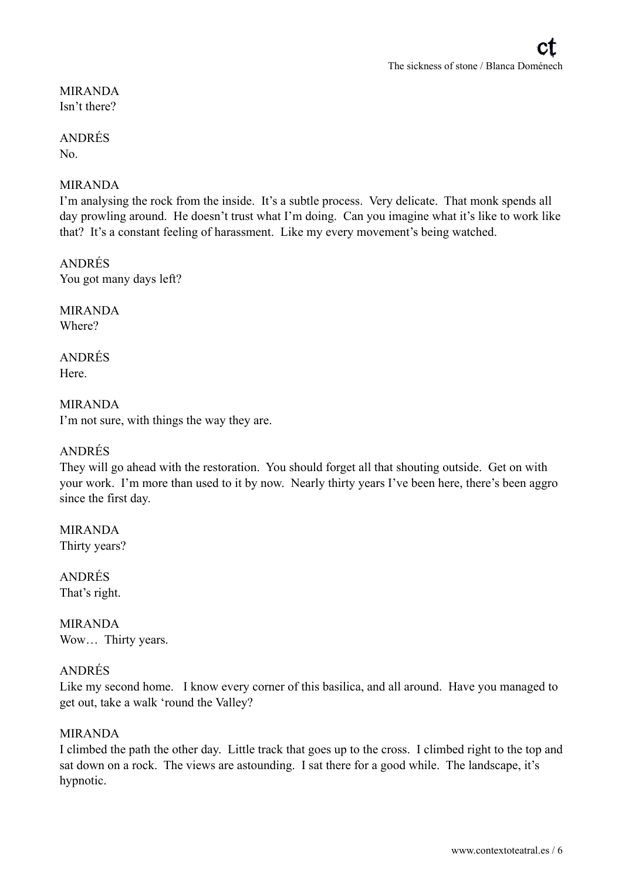## MIRANDA Isn't there?

### ANDRÉS No.

# MIRANDA

I'm analysing the rock from the inside. It's a subtle process. Very delicate. That monk spends all day prowling around. He doesn't trust what I'm doing. Can you imagine what it's like to work like that? It's a constant feeling of harassment. Like my every movement's being watched.

ANDRÉS You got many days left?

MIRANDA Where?

ANDRÉS **Here**.

MIRANDA I'm not sure, with things the way they are.

### ANDRÉS

They will go ahead with the restoration. You should forget all that shouting outside. Get on with your work. I'm more than used to it by now. Nearly thirty years I've been here, there's been aggro since the first day.

MIRANDA Thirty years?

ANDRÉS That's right.

MIRANDA Wow… Thirty years.

# ANDRÉS

Like my second home. I know every corner of this basilica, and all around. Have you managed to get out, take a walk 'round the Valley?

### MIRANDA

I climbed the path the other day. Little track that goes up to the cross. I climbed right to the top and sat down on a rock. The views are astounding. I sat there for a good while. The landscape, it's hypnotic.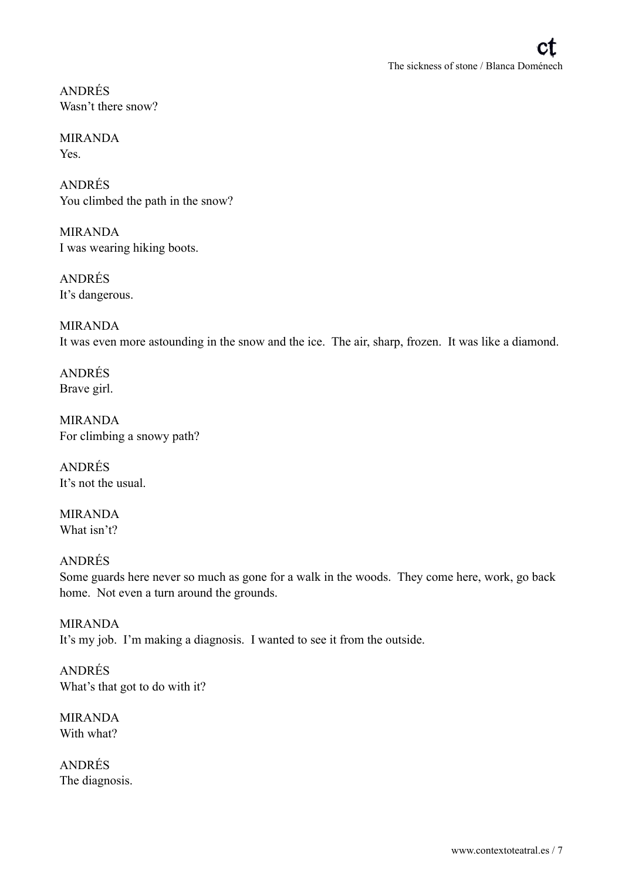ANDRÉS Wasn't there snow?

MIRANDA Yes.

ANDRÉS You climbed the path in the snow?

MIRANDA I was wearing hiking boots.

ANDRÉS It's dangerous.

MIRANDA It was even more astounding in the snow and the ice. The air, sharp, frozen. It was like a diamond.

ANDRÉS Brave girl.

MIRANDA For climbing a snowy path?

ANDRÉS It's not the usual.

MIRANDA What isn't?

ANDRÉS Some guards here never so much as gone for a walk in the woods. They come here, work, go back home. Not even a turn around the grounds.

MIRANDA It's my job. I'm making a diagnosis. I wanted to see it from the outside.

ANDRÉS What's that got to do with it?

MIRANDA With what?

ANDRÉS The diagnosis.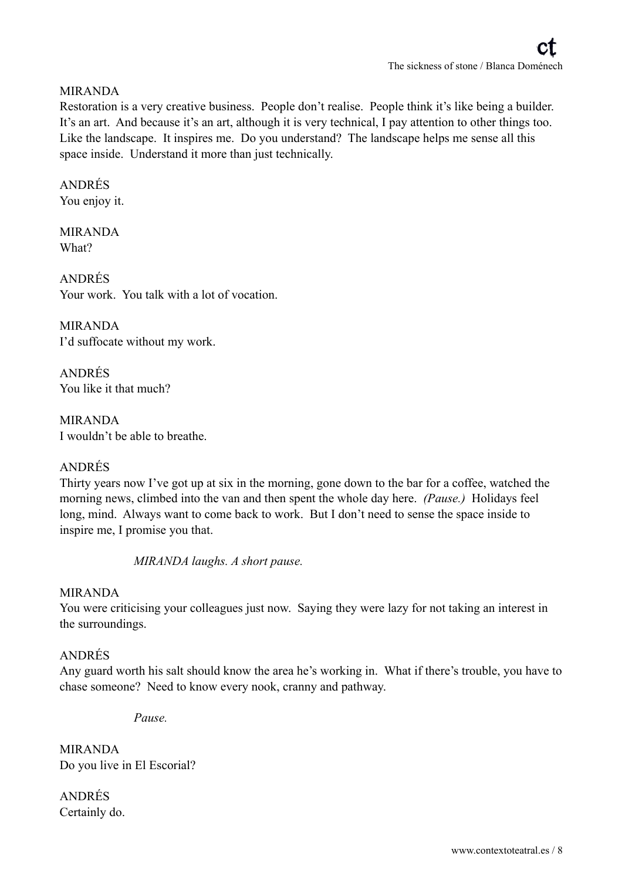# MIRANDA

Restoration is a very creative business. People don't realise. People think it's like being a builder. It's an art. And because it's an art, although it is very technical, I pay attention to other things too. Like the landscape. It inspires me. Do you understand? The landscape helps me sense all this space inside. Understand it more than just technically.

### ANDRÉS

You enjoy it.

### MIRANDA What?

ANDRÉS Your work. You talk with a lot of vocation.

MIRANDA I'd suffocate without my work.

ANDRÉS You like it that much?

MIRANDA I wouldn't be able to breathe.

# ANDRÉS

Thirty years now I've got up at six in the morning, gone down to the bar for a coffee, watched the morning news, climbed into the van and then spent the whole day here. *(Pause.)* Holidays feel long, mind. Always want to come back to work. But I don't need to sense the space inside to inspire me, I promise you that.

*MIRANDA laughs. A short pause.* 

### MIRANDA

You were criticising your colleagues just now. Saying they were lazy for not taking an interest in the surroundings.

### ANDRÉS

Any guard worth his salt should know the area he's working in. What if there's trouble, you have to chase someone? Need to know every nook, cranny and pathway.

*Pause.* 

MIRANDA Do you live in El Escorial?

ANDRÉS Certainly do.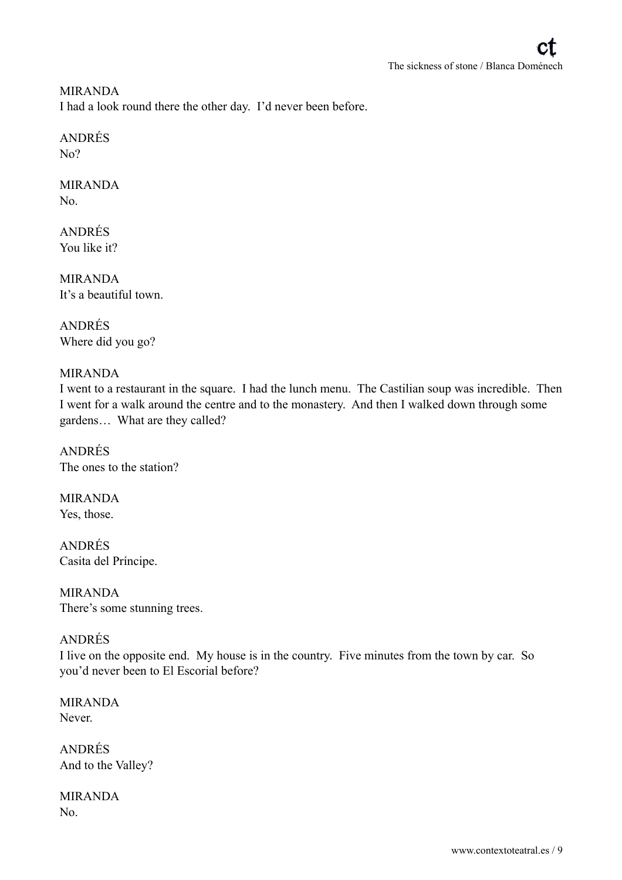MIRANDA I had a look round there the other day. I'd never been before.

# ANDRÉS

 $N<sub>0</sub>$ ?

## MIRANDA No.

ANDRÉS You like it?

MIRANDA It's a beautiful town.

ANDRÉS Where did you go?

# MIRANDA

I went to a restaurant in the square. I had the lunch menu. The Castilian soup was incredible. Then I went for a walk around the centre and to the monastery. And then I walked down through some gardens… What are they called?

ANDRÉS The ones to the station?

MIRANDA Yes, those.

ANDRÉS Casita del Príncipe.

MIRANDA There's some stunning trees.

# ANDRÉS

I live on the opposite end. My house is in the country. Five minutes from the town by car. So you'd never been to El Escorial before?

MIRANDA Never.

ANDRÉS And to the Valley?

MIRANDA No.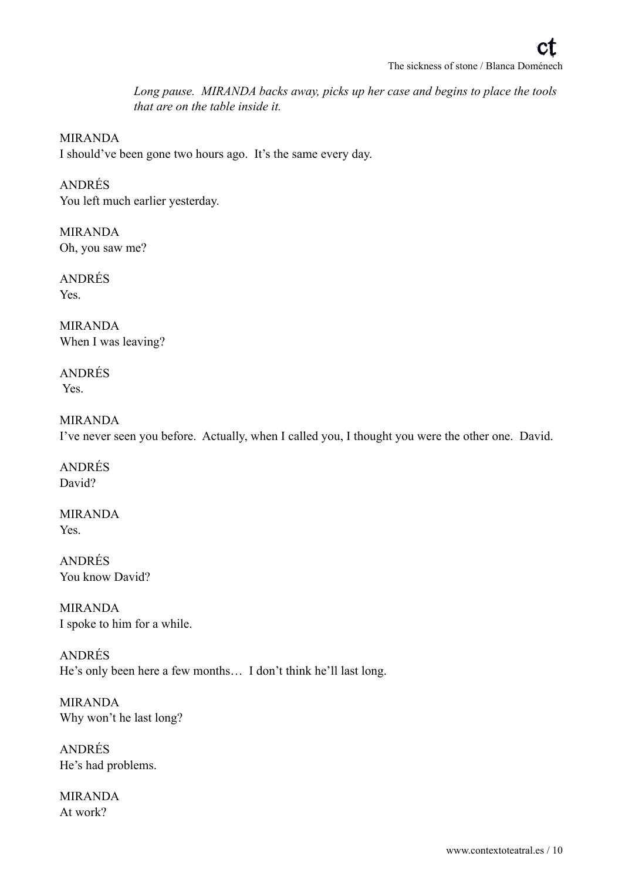*Long pause. MIRANDA backs away, picks up her case and begins to place the tools that are on the table inside it.* 

### MIRANDA

I should've been gone two hours ago. It's the same every day.

ANDRÉS You left much earlier yesterday.

MIRANDA Oh, you saw me?

ANDRÉS Yes.

MIRANDA When I was leaving?

ANDRÉS Yes.

### MIRANDA

I've never seen you before. Actually, when I called you, I thought you were the other one. David.

ANDRÉS David?

MIRANDA Yes.

ANDRÉS You know David?

MIRANDA I spoke to him for a while.

ANDRÉS He's only been here a few months… I don't think he'll last long.

MIRANDA Why won't he last long?

ANDRÉS He's had problems.

MIRANDA At work?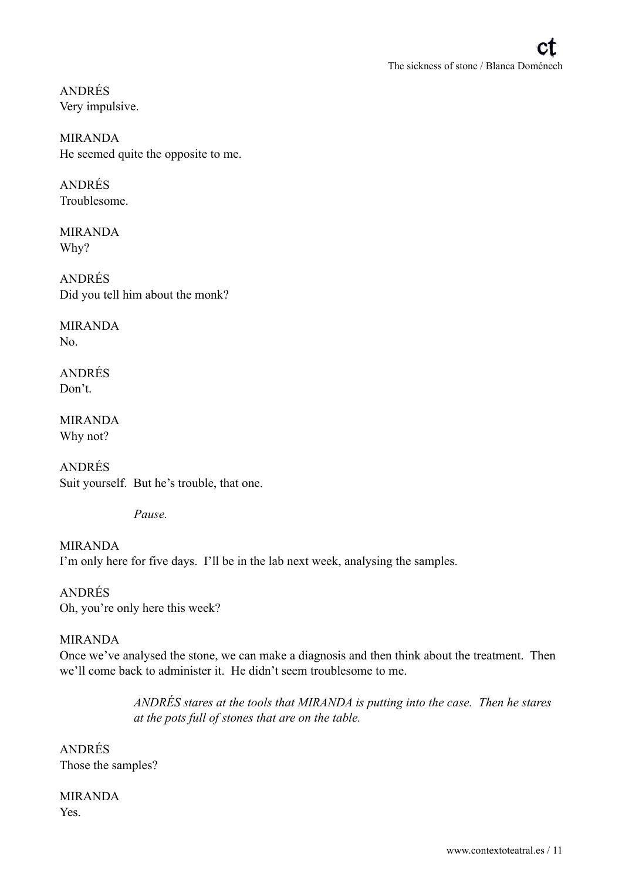ANDRÉS Very impulsive.

MIRANDA He seemed quite the opposite to me.

ANDRÉS Troublesome.

MIRANDA Why?

ANDRÉS Did you tell him about the monk?

MIRANDA  $N<sub>0</sub>$ 

ANDRÉS Don't.

MIRANDA Why not?

ANDRÉS Suit yourself. But he's trouble, that one.

*Pause.* 

MIRANDA I'm only here for five days. I'll be in the lab next week, analysing the samples.

ANDRÉS Oh, you're only here this week?

# MIRANDA

Once we've analysed the stone, we can make a diagnosis and then think about the treatment. Then we'll come back to administer it. He didn't seem troublesome to me.

> *ANDRÉS stares at the tools that MIRANDA is putting into the case. Then he stares at the pots full of stones that are on the table.*

ANDRÉS Those the samples?

MIRANDA Yes.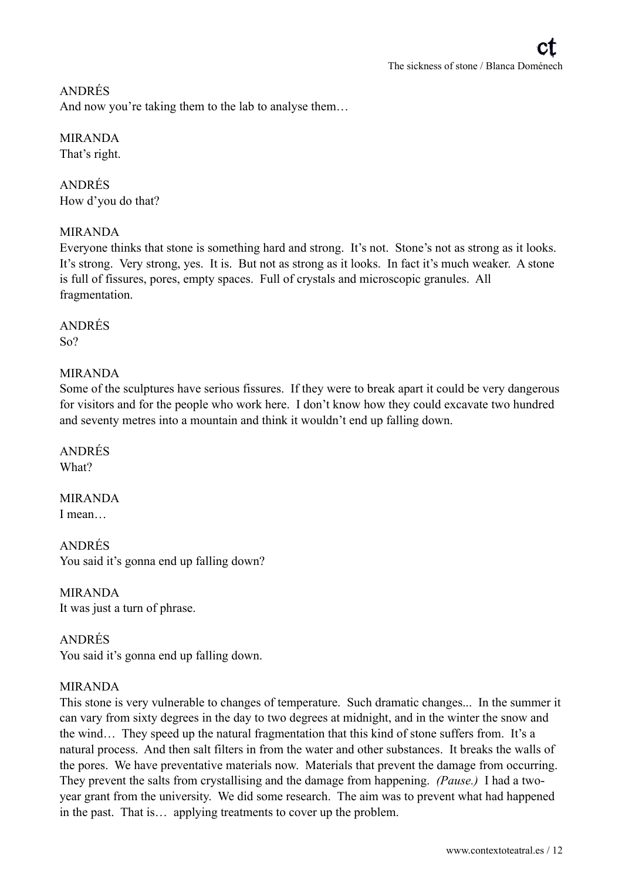# ANDRÉS

And now you're taking them to the lab to analyse them...

# MIRANDA

That's right.

# ANDRÉS How d'you do that?

# MIRANDA

Everyone thinks that stone is something hard and strong. It's not. Stone's not as strong as it looks. It's strong. Very strong, yes. It is. But not as strong as it looks. In fact it's much weaker. A stone is full of fissures, pores, empty spaces. Full of crystals and microscopic granules. All fragmentation.

# ANDRÉS

 $S_0$ ?

# MIRANDA

Some of the sculptures have serious fissures. If they were to break apart it could be very dangerous for visitors and for the people who work here. I don't know how they could excavate two hundred and seventy metres into a mountain and think it wouldn't end up falling down.

ANDRÉS What?

#### MIRANDA I mean…

ANDRÉS You said it's gonna end up falling down?

MIRANDA It was just a turn of phrase.

# ANDRÉS You said it's gonna end up falling down.

# MIRANDA

This stone is very vulnerable to changes of temperature. Such dramatic changes... In the summer it can vary from sixty degrees in the day to two degrees at midnight, and in the winter the snow and the wind… They speed up the natural fragmentation that this kind of stone suffers from. It's a natural process. And then salt filters in from the water and other substances. It breaks the walls of the pores. We have preventative materials now. Materials that prevent the damage from occurring. They prevent the salts from crystallising and the damage from happening. *(Pause.)* I had a twoyear grant from the university. We did some research. The aim was to prevent what had happened in the past. That is… applying treatments to cover up the problem.